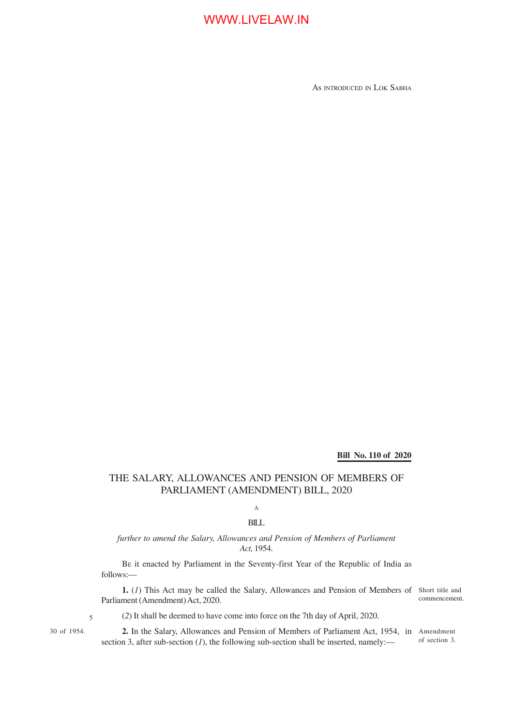## WWW.LIVELAW.IN

As INTRODUCED IN LOK SABHA

#### **Bill No. 110 of 2020**

### THE SALARY, ALLOWANCES AND PENSION OF MEMBERS OF PARLIAMENT (AMENDMENT) BILL, 2020

A

#### BILL

#### *further to amend the Salary, Allowances and Pension of Members of Parliament Act,* 1954.

BE it enacted by Parliament in the Seventy-first Year of the Republic of India as follows:—

1. (1) This Act may be called the Salary, Allowances and Pension of Members of Short title and Parliament (Amendment) Act, 2020.

commencement.

30 of 1954.

5

(*2*) It shall be deemed to have come into force on the 7th day of April, 2020.

**2.** In the Salary, Allowances and Pension of Members of Parliament Act, 1954, in Amendment section 3, after sub-section  $(I)$ , the following sub-section shall be inserted, namely: of section 3.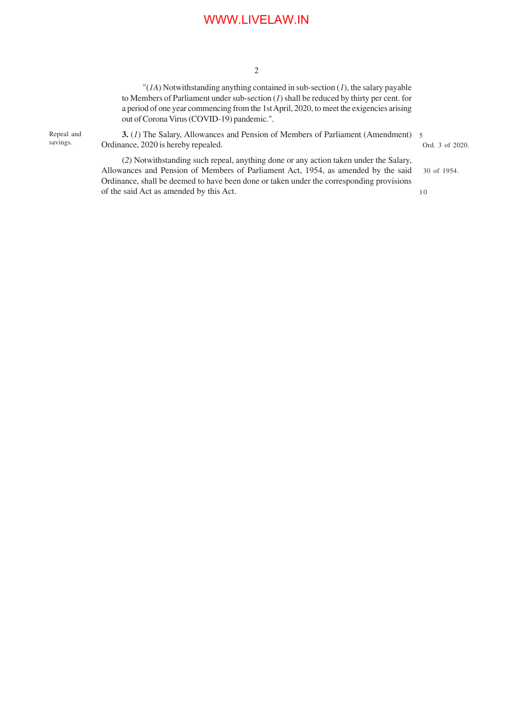## WWW.LIVELAW.IN

2

"(*1A*) Notwithstanding anything contained in sub-section (*1*), the salary payable to Members of Parliament under sub-section (*1*) shall be reduced by thirty per cent. for a period of one year commencing from the 1st April, 2020, to meet the exigencies arising out of Corona Virus (COVID-19) pandemic.".

Repeal and savings.

**3.** (*1*) The Salary, Allowances and Pension of Members of Parliament (Amendment) 5 Ordinance, 2020 is hereby repealed.

Ord. 3 of 2020.

(*2*) Notwithstanding such repeal, anything done or any action taken under the Salary, Allowances and Pension of Members of Parliament Act, 1954, as amended by the said Ordinance, shall be deemed to have been done or taken under the corresponding provisions of the said Act as amended by this Act. 30 of 1954. 10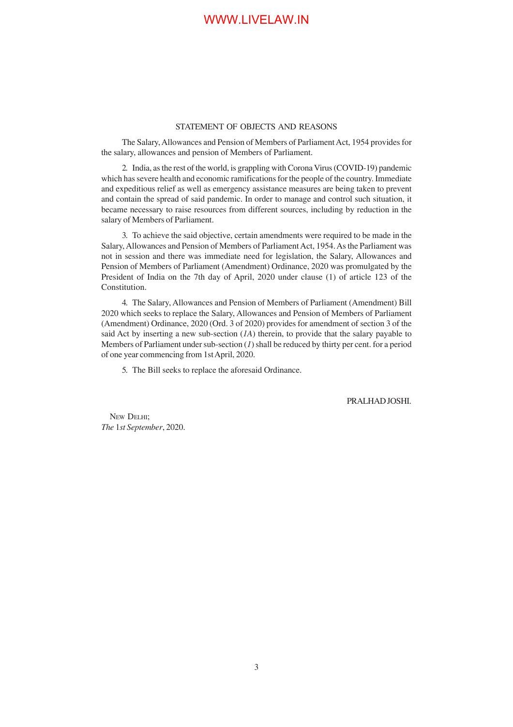#### STATEMENT OF OBJECTS AND REASONS

The Salary, Allowances and Pension of Members of Parliament Act, 1954 provides for the salary, allowances and pension of Members of Parliament.

2. India, as the rest of the world, is grappling with Corona Virus (COVID-19) pandemic which has severe health and economic ramifications for the people of the country. Immediate and expeditious relief as well as emergency assistance measures are being taken to prevent and contain the spread of said pandemic. In order to manage and control such situation, it became necessary to raise resources from different sources, including by reduction in the salary of Members of Parliament.

3. To achieve the said objective, certain amendments were required to be made in the Salary, Allowances and Pension of Members of Parliament Act, 1954. As the Parliament was not in session and there was immediate need for legislation, the Salary, Allowances and Pension of Members of Parliament (Amendment) Ordinance, 2020 was promulgated by the President of India on the 7th day of April, 2020 under clause (1) of article 123 of the Constitution.

4. The Salary, Allowances and Pension of Members of Parliament (Amendment) Bill 2020 which seeks to replace the Salary, Allowances and Pension of Members of Parliament (Amendment) Ordinance, 2020 (Ord. 3 of 2020) provides for amendment of section 3 of the said Act by inserting a new sub-section (*1A*) therein, to provide that the salary payable to Members of Parliament under sub-section (*1*) shall be reduced by thirty per cent. for a period of one year commencing from 1st April, 2020.

5. The Bill seeks to replace the aforesaid Ordinance.

PRALHAD JOSHI.

NEW DELHI; *The* 1*st September*, 2020.